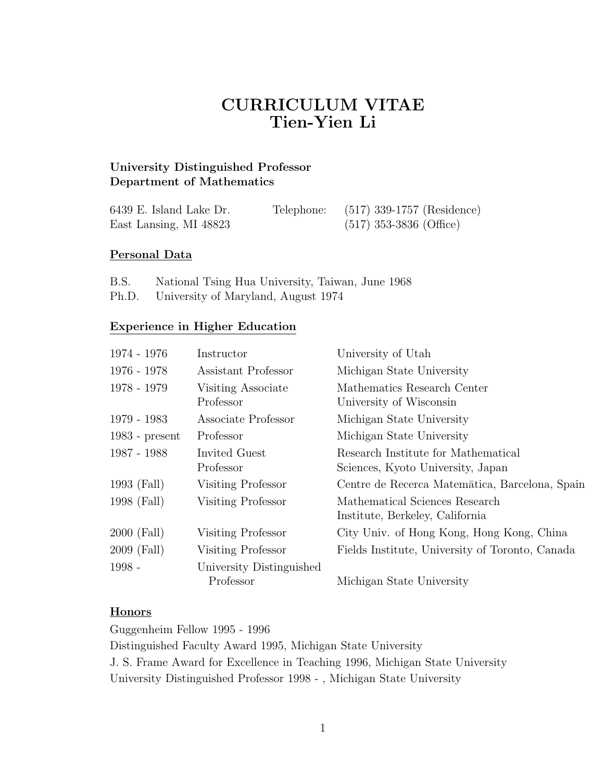# CURRICULUM VITAE Tien-Yien Li

# University Distinguished Professor Department of Mathematics

| 6439 E. Island Lake Dr. | Telephone: | $(517)$ 339-1757 (Residence) |
|-------------------------|------------|------------------------------|
| East Lansing, MI 48823  |            | $(517)$ 353-3836 (Office)    |

#### Personal Data

- B.S. National Tsing Hua University, Taiwan, June 1968
- Ph.D. University of Maryland, August 1974

#### Experience in Higher Education

| Instructor                            | University of Utah                                                       |
|---------------------------------------|--------------------------------------------------------------------------|
| Assistant Professor                   | Michigan State University                                                |
| Visiting Associate<br>Professor       | Mathematics Research Center<br>University of Wisconsin                   |
| Associate Professor                   | Michigan State University                                                |
| Professor                             | Michigan State University                                                |
| Invited Guest<br>Professor            | Research Institute for Mathematical<br>Sciences, Kyoto University, Japan |
| Visiting Professor                    | Centre de Recerca Matemātica, Barcelona, Spain                           |
| Visiting Professor                    | Mathematical Sciences Research<br>Institute, Berkeley, California        |
| Visiting Professor                    | City Univ. of Hong Kong, Hong Kong, China                                |
| Visiting Professor                    | Fields Institute, University of Toronto, Canada                          |
| University Distinguished<br>Professor | Michigan State University                                                |
|                                       |                                                                          |

#### **Honors**

Guggenheim Fellow 1995 - 1996

Distinguished Faculty Award 1995, Michigan State University J. S. Frame Award for Excellence in Teaching 1996, Michigan State University University Distinguished Professor 1998 - , Michigan State University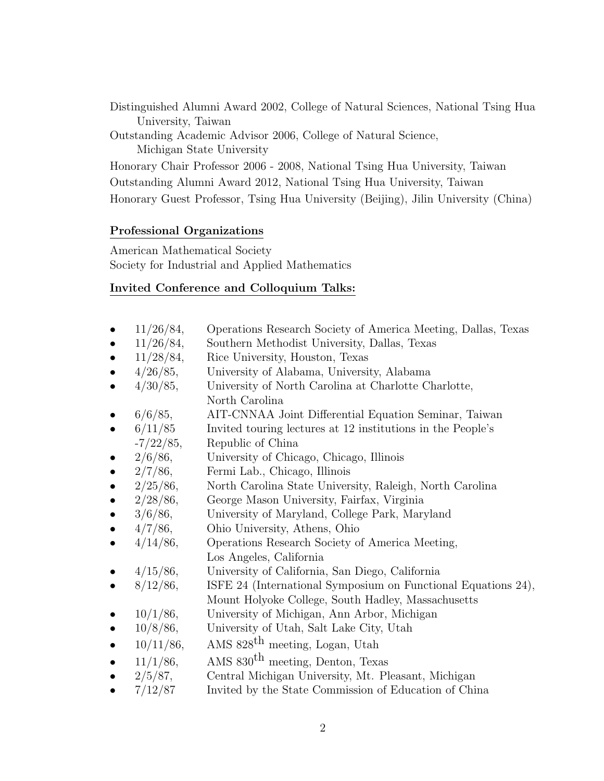Distinguished Alumni Award 2002, College of Natural Sciences, National Tsing Hua University, Taiwan

Outstanding Academic Advisor 2006, College of Natural Science, Michigan State University

Honorary Chair Professor 2006 - 2008, National Tsing Hua University, Taiwan Outstanding Alumni Award 2012, National Tsing Hua University, Taiwan Honorary Guest Professor, Tsing Hua University (Beijing), Jilin University (China)

#### Professional Organizations

American Mathematical Society Society for Industrial and Applied Mathematics

# Invited Conference and Colloquium Talks:

- 11/26/84, Operations Research Society of America Meeting, Dallas, Texas
- 11/26/84, Southern Methodist University, Dallas, Texas
- 11/28/84, Rice University, Houston, Texas
- 4/26/85, University of Alabama, University, Alabama
- 4/30/85, University of North Carolina at Charlotte Charlotte, North Carolina
- 6/6/85, AIT-CNNAA Joint Differential Equation Seminar, Taiwan
- 6/11/85 Invited touring lectures at 12 institutions in the People's -7/22/85, Republic of China
- 2/6/86, University of Chicago, Chicago, Illinois
- 2/7/86, Fermi Lab., Chicago, Illinois
- 2/25/86, North Carolina State University, Raleigh, North Carolina
- 2/28/86, George Mason University, Fairfax, Virginia
- 3/6/86, University of Maryland, College Park, Maryland
- 4/7/86, Ohio University, Athens, Ohio
- 4/14/86, Operations Research Society of America Meeting, Los Angeles, California
- 4/15/86, University of California, San Diego, California
- 8/12/86, ISFE 24 (International Symposium on Functional Equations 24), Mount Holyoke College, South Hadley, Massachusetts
- 10/1/86, University of Michigan, Ann Arbor, Michigan
- 10/8/86, University of Utah, Salt Lake City, Utah
- $10/11/86$ , AMS  $828$ <sup>th</sup> meeting, Logan, Utah
- $11/1/86$ , AMS  $830$ <sup>th</sup> meeting, Denton, Texas
- 2/5/87, Central Michigan University, Mt. Pleasant, Michigan
- 7/12/87 Invited by the State Commission of Education of China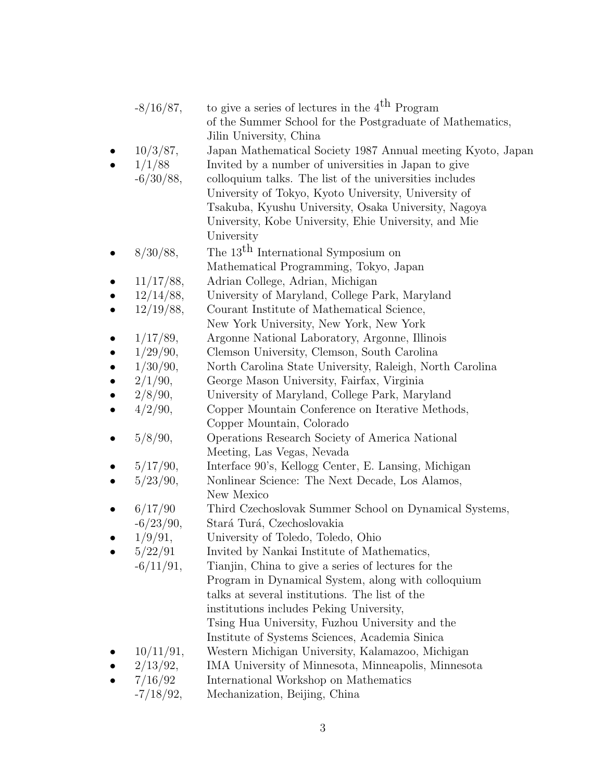|           | $-8/16/87,$                       | to give a series of lectures in the $4th$ Program<br>of the Summer School for the Postgraduate of Mathematics,                                                                                                                                                    |
|-----------|-----------------------------------|-------------------------------------------------------------------------------------------------------------------------------------------------------------------------------------------------------------------------------------------------------------------|
|           | 10/3/87,<br>1/1/88<br>$-6/30/88,$ | Jilin University, China<br>Japan Mathematical Society 1987 Annual meeting Kyoto, Japan<br>Invited by a number of universities in Japan to give<br>colloquium talks. The list of the universities includes<br>University of Tokyo, Kyoto University, University of |
|           |                                   | Tsakuba, Kyushu University, Osaka University, Nagoya<br>University, Kobe University, Ehie University, and Mie<br>University                                                                                                                                       |
|           | 8/30/88,                          | The 13 <sup>th</sup> International Symposium on<br>Mathematical Programming, Tokyo, Japan                                                                                                                                                                         |
|           | 11/17/88,                         | Adrian College, Adrian, Michigan                                                                                                                                                                                                                                  |
|           | 12/14/88,                         | University of Maryland, College Park, Maryland                                                                                                                                                                                                                    |
|           | 12/19/88,                         | Courant Institute of Mathematical Science,                                                                                                                                                                                                                        |
|           |                                   | New York University, New York, New York                                                                                                                                                                                                                           |
|           | 1/17/89,                          | Argonne National Laboratory, Argonne, Illinois                                                                                                                                                                                                                    |
| $\bullet$ | 1/29/90,                          | Clemson University, Clemson, South Carolina                                                                                                                                                                                                                       |
|           | 1/30/90,                          | North Carolina State University, Raleigh, North Carolina                                                                                                                                                                                                          |
| $\bullet$ | 2/1/90,                           | George Mason University, Fairfax, Virginia                                                                                                                                                                                                                        |
| $\bullet$ | 2/8/90,                           | University of Maryland, College Park, Maryland                                                                                                                                                                                                                    |
|           | 4/2/90,                           | Copper Mountain Conference on Iterative Methods,<br>Copper Mountain, Colorado                                                                                                                                                                                     |
|           | 5/8/90,                           | Operations Research Society of America National<br>Meeting, Las Vegas, Nevada                                                                                                                                                                                     |
|           | 5/17/90,                          | Interface 90's, Kellogg Center, E. Lansing, Michigan                                                                                                                                                                                                              |
|           | 5/23/90,                          | Nonlinear Science: The Next Decade, Los Alamos,                                                                                                                                                                                                                   |
|           |                                   | New Mexico                                                                                                                                                                                                                                                        |
|           | 6/17/90                           | Third Czechoslovak Summer School on Dynamical Systems,                                                                                                                                                                                                            |
|           | $-6/23/90,$                       | Stará Turá, Czechoslovakia                                                                                                                                                                                                                                        |
|           | 1/9/91,                           | University of Toledo, Toledo, Ohio                                                                                                                                                                                                                                |
|           | 5/22/91                           | Invited by Nankai Institute of Mathematics,                                                                                                                                                                                                                       |
|           | $-6/11/91,$                       | Tianjin, China to give a series of lectures for the                                                                                                                                                                                                               |
|           |                                   | Program in Dynamical System, along with colloquium                                                                                                                                                                                                                |
|           |                                   | talks at several institutions. The list of the                                                                                                                                                                                                                    |
|           |                                   | institutions includes Peking University,                                                                                                                                                                                                                          |
|           |                                   | Tsing Hua University, Fuzhou University and the                                                                                                                                                                                                                   |
|           |                                   | Institute of Systems Sciences, Academia Sinica                                                                                                                                                                                                                    |
|           | 10/11/91,                         | Western Michigan University, Kalamazoo, Michigan                                                                                                                                                                                                                  |
|           | 2/13/92,                          | IMA University of Minnesota, Minneapolis, Minnesota                                                                                                                                                                                                               |
|           | 7/16/92                           | International Workshop on Mathematics                                                                                                                                                                                                                             |
|           | $-7/18/92,$                       | Mechanization, Beijing, China                                                                                                                                                                                                                                     |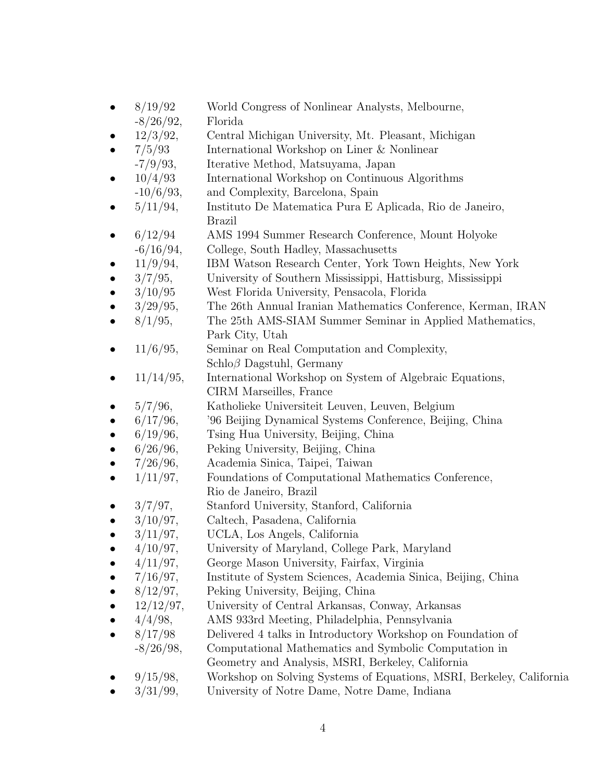- 8/19/92 World Congress of Nonlinear Analysts, Melbourne,
- -8/26/92, Florida
- 12/3/92, Central Michigan University, Mt. Pleasant, Michigan
- 7/5/93 International Workshop on Liner & Nonlinear
- -7/9/93, Iterative Method, Matsuyama, Japan
- 10/4/93 International Workshop on Continuous Algorithms
- -10/6/93, and Complexity, Barcelona, Spain
- 5/11/94, Instituto De Matematica Pura E Aplicada, Rio de Janeiro, Brazil
- 6/12/94 AMS 1994 Summer Research Conference, Mount Holyoke -6/16/94, College, South Hadley, Massachusetts
- 11/9/94, IBM Watson Research Center, York Town Heights, New York
- 3/7/95, University of Southern Mississippi, Hattisburg, Mississippi
- 3/10/95 West Florida University, Pensacola, Florida
- 3/29/95, The 26th Annual Iranian Mathematics Conference, Kerman, IRAN
- 8/1/95, The 25th AMS-SIAM Summer Seminar in Applied Mathematics, Park City, Utah
- 11/6/95, Seminar on Real Computation and Complexity, Schloβ Dagstuhl, Germany
- 11/14/95, International Workshop on System of Algebraic Equations, CIRM Marseilles, France
- 5/7/96, Katholieke Universiteit Leuven, Leuven, Belgium
- 6/17/96, '96 Beijing Dynamical Systems Conference, Beijing, China
- 6/19/96, Tsing Hua University, Beijing, China
- 6/26/96, Peking University, Beijing, China
- 7/26/96, Academia Sinica, Taipei, Taiwan
- $\bullet$  1/11/97, Foundations of Computational Mathematics Conference, Rio de Janeiro, Brazil
- 3/7/97, Stanford University, Stanford, California
- 3/10/97, Caltech, Pasadena, California
- 3/11/97, UCLA, Los Angels, California
- 4/10/97, University of Maryland, College Park, Maryland
- 4/11/97, George Mason University, Fairfax, Virginia
- 7/16/97, Institute of System Sciences, Academia Sinica, Beijing, China
- 8/12/97, Peking University, Beijing, China
- 12/12/97, University of Central Arkansas, Conway, Arkansas
- 4/4/98, AMS 933rd Meeting, Philadelphia, Pennsylvania
- 8/17/98 Delivered 4 talks in Introductory Workshop on Foundation of -8/26/98, Computational Mathematics and Symbolic Computation in
- Geometry and Analysis, MSRI, Berkeley, California
- 9/15/98, Workshop on Solving Systems of Equations, MSRI, Berkeley, California
- 3/31/99, University of Notre Dame, Notre Dame, Indiana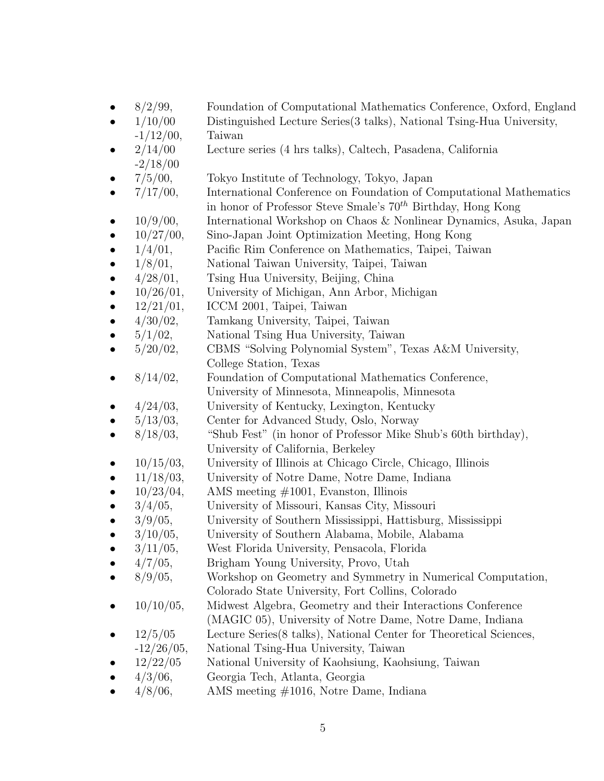- 8/2/99, Foundation of Computational Mathematics Conference, Oxford, England
- 1/10/00 Distinguished Lecture Series(3 talks), National Tsing-Hua University,
- $-1/12/00$ , Taiwan
- 2/14/00 Lecture series (4 hrs talks), Caltech, Pasadena, California  $-2/18/00$
- 7/5/00, Tokyo Institute of Technology, Tokyo, Japan
- 7/17/00, International Conference on Foundation of Computational Mathematics in honor of Professor Steve Smale's  $70<sup>th</sup>$  Birthday, Hong Kong
- 10/9/00, International Workshop on Chaos & Nonlinear Dynamics, Asuka, Japan
- 10/27/00, Sino-Japan Joint Optimization Meeting, Hong Kong
- 1/4/01, Pacific Rim Conference on Mathematics, Taipei, Taiwan
- 1/8/01, National Taiwan University, Taipei, Taiwan
- 4/28/01, Tsing Hua University, Beijing, China
- 10/26/01, University of Michigan, Ann Arbor, Michigan
- 12/21/01, ICCM 2001, Taipei, Taiwan
- 4/30/02, Tamkang University, Taipei, Taiwan
- 5/1/02, National Tsing Hua University, Taiwan
- 5/20/02, CBMS "Solving Polynomial System", Texas A&M University, College Station, Texas
- 8/14/02, Foundation of Computational Mathematics Conference, University of Minnesota, Minneapolis, Minnesota
- 4/24/03, University of Kentucky, Lexington, Kentucky
- 5/13/03, Center for Advanced Study, Oslo, Norway
- 8/18/03, "Shub Fest" (in honor of Professor Mike Shub's 60th birthday), University of California, Berkeley
- $\bullet$  10/15/03, University of Illinois at Chicago Circle, Chicago, Illinois
- 11/18/03, University of Notre Dame, Notre Dame, Indiana
- $10/23/04$ , AMS meeting  $\#1001$ , Evanston, Illinois
- 3/4/05, University of Missouri, Kansas City, Missouri
- 3/9/05, University of Southern Mississippi, Hattisburg, Mississippi
- 3/10/05, University of Southern Alabama, Mobile, Alabama
- 3/11/05, West Florida University, Pensacola, Florida
- 4/7/05, Brigham Young University, Provo, Utah
- 8/9/05, Workshop on Geometry and Symmetry in Numerical Computation, Colorado State University, Fort Collins, Colorado
- 10/10/05, Midwest Algebra, Geometry and their Interactions Conference
- (MAGIC 05), University of Notre Dame, Notre Dame, Indiana
- 12/5/05 Lecture Series(8 talks), National Center for Theoretical Sciences,
- -12/26/05, National Tsing-Hua University, Taiwan
- 12/22/05 National University of Kaohsiung, Kaohsiung, Taiwan
- 4/3/06, Georgia Tech, Atlanta, Georgia
- $4/8/06$ , AMS meeting  $\#1016$ , Notre Dame, Indiana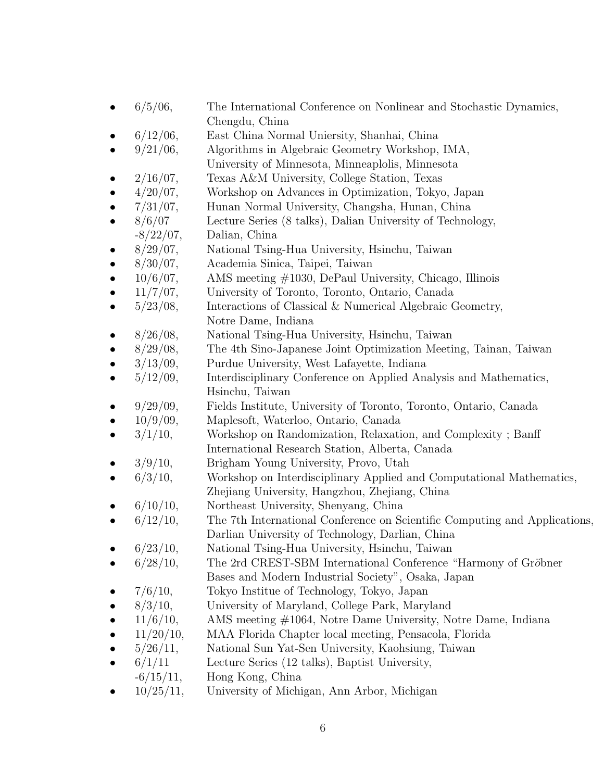- 6/5/06, The International Conference on Nonlinear and Stochastic Dynamics, Chengdu, China
- 6/12/06, East China Normal Uniersity, Shanhai, China
- 9/21/06, Algorithms in Algebraic Geometry Workshop, IMA,
- University of Minnesota, Minneaplolis, Minnesota
- 2/16/07, Texas A&M University, College Station, Texas
- 4/20/07, Workshop on Advances in Optimization, Tokyo, Japan
- 7/31/07, Hunan Normal University, Changsha, Hunan, China
- 8/6/07 Lecture Series (8 talks), Dalian University of Technology,
- $-8/22/07$ , Dalian, China
- 8/29/07, National Tsing-Hua University, Hsinchu, Taiwan
- 8/30/07, Academia Sinica, Taipei, Taiwan
- 10/6/07, AMS meeting #1030, DePaul University, Chicago, Illinois
- 11/7/07, University of Toronto, Toronto, Ontario, Canada
- $5/23/08$ , Interactions of Classical & Numerical Algebraic Geometry, Notre Dame, Indiana
- 8/26/08, National Tsing-Hua University, Hsinchu, Taiwan
- 8/29/08, The 4th Sino-Japanese Joint Optimization Meeting, Tainan, Taiwan
- 3/13/09, Purdue University, West Lafayette, Indiana
- 5/12/09, Interdisciplinary Conference on Applied Analysis and Mathematics, Hsinchu, Taiwan
- 9/29/09, Fields Institute, University of Toronto, Toronto, Ontario, Canada
- 10/9/09, Maplesoft, Waterloo, Ontario, Canada
- 3/1/10, Workshop on Randomization, Relaxation, and Complexity ; Banff International Research Station, Alberta, Canada
- 3/9/10, Brigham Young University, Provo, Utah
- $6/3/10$ , Workshop on Interdisciplinary Applied and Computational Mathematics, Zhejiang University, Hangzhou, Zhejiang, China
- 6/10/10, Northeast University, Shenyang, China
- $6/12/10$ , The 7th International Conference on Scientific Computing and Applications, Darlian University of Technology, Darlian, China
- 6/23/10, National Tsing-Hua University, Hsinchu, Taiwan
- $6/28/10$ , The 2rd CREST-SBM International Conference "Harmony of Gröbner" Bases and Modern Industrial Society", Osaka, Japan
- 7/6/10, Tokyo Institue of Technology, Tokyo, Japan
- 8/3/10, University of Maryland, College Park, Maryland
- 11/6/10, AMS meeting #1064, Notre Dame University, Notre Dame, Indiana
- 11/20/10, MAA Florida Chapter local meeting, Pensacola, Florida
- 5/26/11, National Sun Yat-Sen University, Kaohsiung, Taiwan
- $6/1/11$  Lecture Series (12 talks), Baptist University,
- $-6/15/11$ , Hong Kong, China
- 10/25/11, University of Michigan, Ann Arbor, Michigan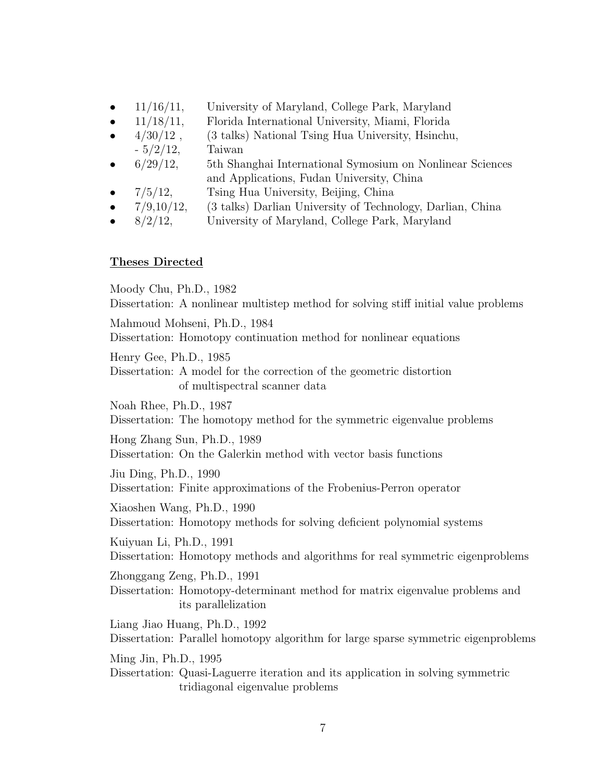- 11/16/11, University of Maryland, College Park, Maryland
- 11/18/11, Florida International University, Miami, Florida
- $4/30/12$ ,  $(3 \t{ talks})$  National Tsing Hua University, Hsinchu,  $-5/2/12$ , Taiwan
- 6/29/12, 5th Shanghai International Symosium on Nonlinear Sciences and Applications, Fudan University, China
- 7/5/12, Tsing Hua University, Beijing, China
- 7/9,10/12, (3 talks) Darlian University of Technology, Darlian, China
- 8/2/12, University of Maryland, College Park, Maryland

#### Theses Directed

Moody Chu, Ph.D., 1982 Dissertation: A nonlinear multistep method for solving stiff initial value problems Mahmoud Mohseni, Ph.D., 1984 Dissertation: Homotopy continuation method for nonlinear equations Henry Gee, Ph.D., 1985 Dissertation: A model for the correction of the geometric distortion of multispectral scanner data Noah Rhee, Ph.D., 1987 Dissertation: The homotopy method for the symmetric eigenvalue problems Hong Zhang Sun, Ph.D., 1989 Dissertation: On the Galerkin method with vector basis functions Jiu Ding, Ph.D., 1990 Dissertation: Finite approximations of the Frobenius-Perron operator Xiaoshen Wang, Ph.D., 1990 Dissertation: Homotopy methods for solving deficient polynomial systems Kuiyuan Li, Ph.D., 1991 Dissertation: Homotopy methods and algorithms for real symmetric eigenproblems Zhonggang Zeng, Ph.D., 1991 Dissertation: Homotopy-determinant method for matrix eigenvalue problems and its parallelization Liang Jiao Huang, Ph.D., 1992 Dissertation: Parallel homotopy algorithm for large sparse symmetric eigenproblems Ming Jin, Ph.D., 1995 Dissertation: Quasi-Laguerre iteration and its application in solving symmetric tridiagonal eigenvalue problems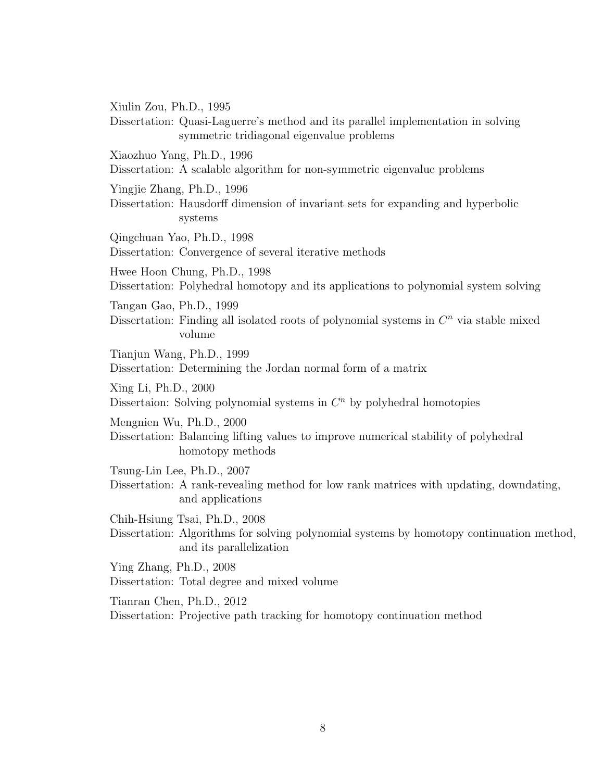Xiulin Zou, Ph.D., 1995

Dissertation: Quasi-Laguerre's method and its parallel implementation in solving symmetric tridiagonal eigenvalue problems

Xiaozhuo Yang, Ph.D., 1996

Dissertation: A scalable algorithm for non-symmetric eigenvalue problems

Yingjie Zhang, Ph.D., 1996

Dissertation: Hausdorff dimension of invariant sets for expanding and hyperbolic systems

Qingchuan Yao, Ph.D., 1998 Dissertation: Convergence of several iterative methods

Hwee Hoon Chung, Ph.D., 1998 Dissertation: Polyhedral homotopy and its applications to polynomial system solving

Tangan Gao, Ph.D., 1999

Dissertation: Finding all isolated roots of polynomial systems in  $C<sup>n</sup>$  via stable mixed volume

Tianjun Wang, Ph.D., 1999 Dissertation: Determining the Jordan normal form of a matrix

Xing Li, Ph.D., 2000

Dissertaion: Solving polynomial systems in  $C<sup>n</sup>$  by polyhedral homotopies

Mengnien Wu, Ph.D., 2000

Dissertation: Balancing lifting values to improve numerical stability of polyhedral homotopy methods

Tsung-Lin Lee, Ph.D., 2007

Dissertation: A rank-revealing method for low rank matrices with updating, downdating, and applications

Chih-Hsiung Tsai, Ph.D., 2008

Dissertation: Algorithms for solving polynomial systems by homotopy continuation method, and its parallelization

Ying Zhang, Ph.D., 2008 Dissertation: Total degree and mixed volume

Tianran Chen, Ph.D., 2012

Dissertation: Projective path tracking for homotopy continuation method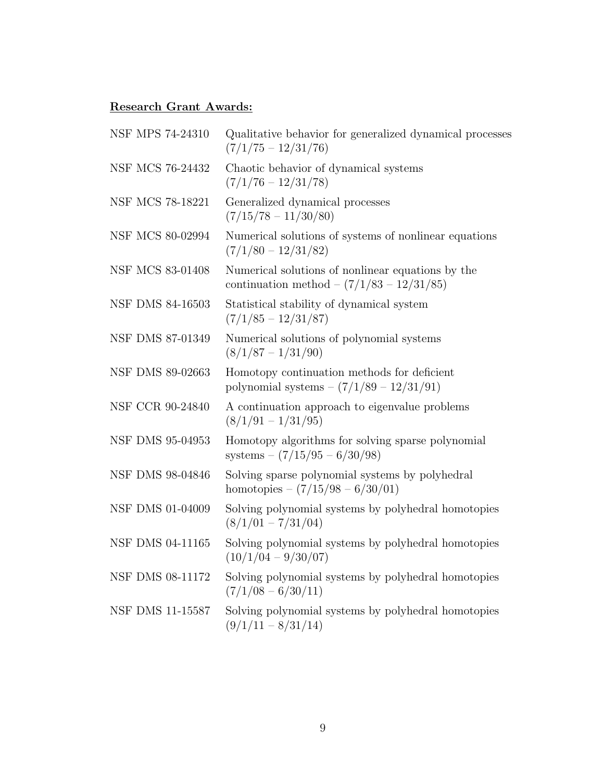# Research Grant Awards:

| <b>NSF MPS 74-24310</b> | Qualitative behavior for generalized dynamical processes<br>$(7/1/75 - 12/31/76)$                                |
|-------------------------|------------------------------------------------------------------------------------------------------------------|
| NSF MCS 76-24432        | Chaotic behavior of dynamical systems<br>$(7/1/76 - 12/31/78)$                                                   |
| NSF MCS 78-18221        | Generalized dynamical processes<br>$(7/15/78 - 11/30/80)$                                                        |
| NSF MCS 80-02994        | Numerical solutions of systems of nonlinear equations<br>$(7/1/80 - 12/31/82)$                                   |
| NSF MCS 83-01408        | Numerical solutions of nonlinear equations by the<br>continuation method $- (7/1/83 - 12/31/85)$                 |
| <b>NSF DMS 84-16503</b> | Statistical stability of dynamical system<br>$(7/1/85 - 12/31/87)$                                               |
| NSF DMS 87-01349        | Numerical solutions of polynomial systems<br>$(8/1/87 - 1/31/90)$                                                |
| NSF DMS 89-02663        | Homotopy continuation methods for deficient<br>polynomial systems $- (7/1/89 - 12/31/91)$                        |
| NSF CCR 90-24840        | A continuation approach to eigenvalue problems<br>$(8/1/91 - 1/31/95)$                                           |
| NSF DMS 95-04953        | Homotopy algorithms for solving sparse polynomial<br>systems $- (7/15/95 - 6/30/98)$                             |
| NSF DMS 98-04846        | Solving sparse polynomial systems by polyhedral<br>homotopies – $\left(\frac{7}{15}\right)98 - \frac{6}{30}{01}$ |
| NSF DMS 01-04009        | Solving polynomial systems by polyhedral homotopies<br>$(8/1/01 - 7/31/04)$                                      |
| <b>NSF DMS 04-11165</b> | Solving polynomial systems by polyhedral homotopies<br>$(10/1/04 - 9/30/07)$                                     |
| NSF DMS 08-11172        | Solving polynomial systems by polyhedral homotopies<br>$(7/1/08 - 6/30/11)$                                      |
| NSF DMS 11-15587        | Solving polynomial systems by polyhedral homotopies<br>$(9/1/11 - 8/31/14)$                                      |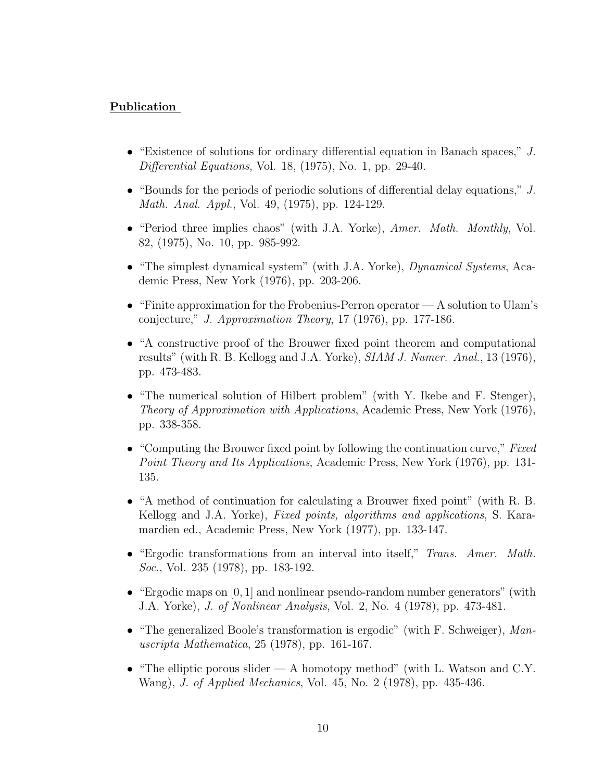# Publication

- "Existence of solutions for ordinary differential equation in Banach spaces," J. Differential Equations, Vol. 18, (1975), No. 1, pp. 29-40.
- "Bounds for the periods of periodic solutions of differential delay equations," J. Math. Anal. Appl., Vol. 49, (1975), pp. 124-129.
- "Period three implies chaos" (with J.A. Yorke), Amer. Math. Monthly, Vol. 82, (1975), No. 10, pp. 985-992.
- "The simplest dynamical system" (with J.A. Yorke), *Dynamical Systems*, Academic Press, New York (1976), pp. 203-206.
- "Finite approximation for the Frobenius-Perron operator A solution to Ulam's conjecture," J. Approximation Theory, 17 (1976), pp. 177-186.
- "A constructive proof of the Brouwer fixed point theorem and computational results" (with R. B. Kellogg and J.A. Yorke), SIAM J. Numer. Anal., 13 (1976), pp. 473-483.
- "The numerical solution of Hilbert problem" (with Y. Ikebe and F. Stenger), Theory of Approximation with Applications, Academic Press, New York (1976), pp. 338-358.
- "Computing the Brouwer fixed point by following the continuation curve," Fixed Point Theory and Its Applications, Academic Press, New York (1976), pp. 131- 135.
- "A method of continuation for calculating a Brouwer fixed point" (with R. B. Kellogg and J.A. Yorke), *Fixed points, algorithms and applications*, S. Karamardien ed., Academic Press, New York (1977), pp. 133-147.
- "Ergodic transformations from an interval into itself," Trans. Amer. Math. Soc., Vol. 235 (1978), pp. 183-192.
- "Ergodic maps on  $[0, 1]$  and nonlinear pseudo-random number generators" (with J.A. Yorke), J. of Nonlinear Analysis, Vol. 2, No. 4 (1978), pp. 473-481.
- "The generalized Boole's transformation is ergodic" (with F. Schweiger), Manuscripta Mathematica, 25 (1978), pp. 161-167.
- "The elliptic porous slider  $A$  homotopy method" (with L. Watson and C.Y. Wang), J. of Applied Mechanics, Vol. 45, No. 2 (1978), pp. 435-436.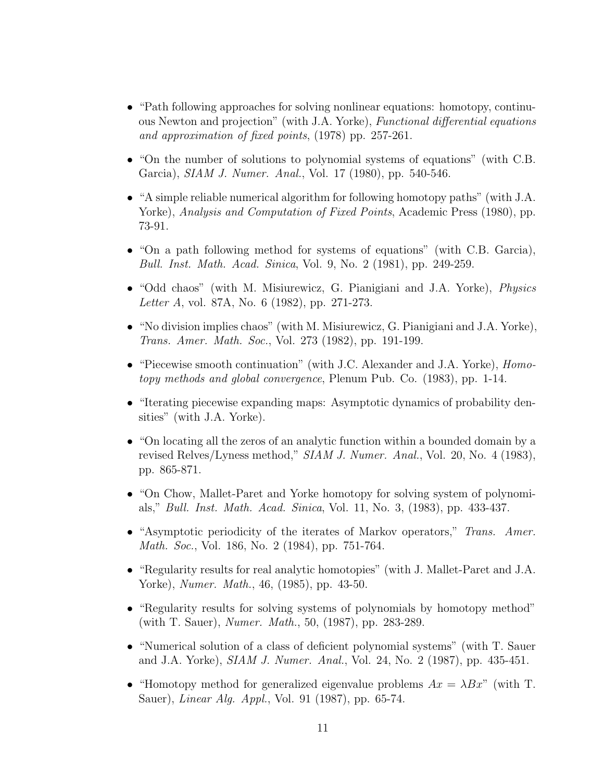- "Path following approaches for solving nonlinear equations: homotopy, continuous Newton and projection" (with J.A. Yorke), Functional differential equations and approximation of fixed points, (1978) pp. 257-261.
- "On the number of solutions to polynomial systems of equations" (with C.B. Garcia), SIAM J. Numer. Anal., Vol. 17 (1980), pp. 540-546.
- "A simple reliable numerical algorithm for following homotopy paths" (with J.A. Yorke), Analysis and Computation of Fixed Points, Academic Press (1980), pp. 73-91.
- "On a path following method for systems of equations" (with C.B. Garcia), Bull. Inst. Math. Acad. Sinica, Vol. 9, No. 2 (1981), pp. 249-259.
- "Odd chaos" (with M. Misiurewicz, G. Pianigiani and J.A. Yorke), *Physics* Letter A, vol. 87A, No. 6 (1982), pp. 271-273.
- "No division implies chaos" (with M. Misiurewicz, G. Pianigiani and J.A. Yorke), Trans. Amer. Math. Soc., Vol. 273 (1982), pp. 191-199.
- "Piecewise smooth continuation" (with J.C. Alexander and J.A. Yorke), *Homo*topy methods and global convergence, Plenum Pub. Co. (1983), pp. 1-14.
- "Iterating piecewise expanding maps: Asymptotic dynamics of probability densities" (with J.A. Yorke).
- "On locating all the zeros of an analytic function within a bounded domain by a revised Relves/Lyness method," SIAM J. Numer. Anal., Vol. 20, No. 4 (1983), pp. 865-871.
- "On Chow, Mallet-Paret and Yorke homotopy for solving system of polynomials," Bull. Inst. Math. Acad. Sinica, Vol. 11, No. 3, (1983), pp. 433-437.
- "Asymptotic periodicity of the iterates of Markov operators," Trans. Amer. Math. Soc., Vol. 186, No. 2 (1984), pp. 751-764.
- "Regularity results for real analytic homotopies" (with J. Mallet-Paret and J.A. Yorke), Numer. Math., 46, (1985), pp. 43-50.
- "Regularity results for solving systems of polynomials by homotopy method" (with T. Sauer), Numer. Math., 50, (1987), pp. 283-289.
- "Numerical solution of a class of deficient polynomial systems" (with T. Sauer and J.A. Yorke), SIAM J. Numer. Anal., Vol. 24, No. 2 (1987), pp. 435-451.
- "Homotopy method for generalized eigenvalue problems  $Ax = \lambda Bx$ " (with T. Sauer), Linear Alg. Appl., Vol. 91 (1987), pp. 65-74.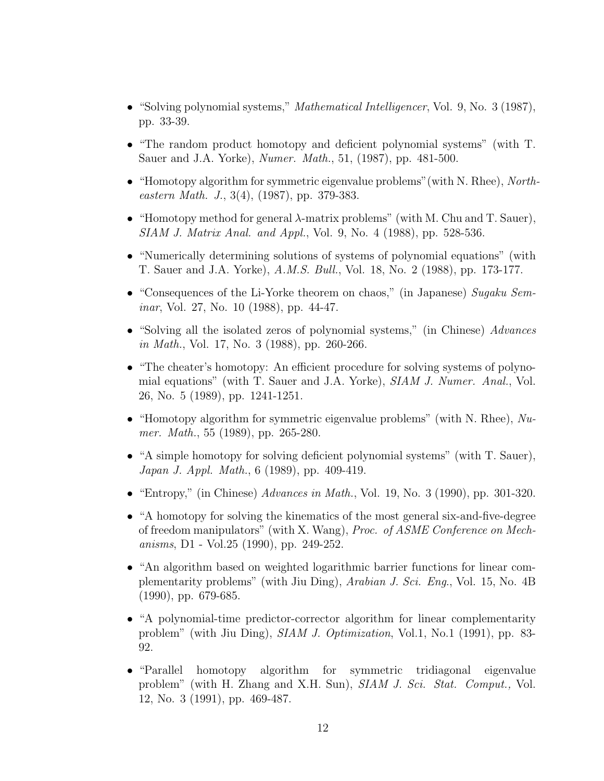- "Solving polynomial systems," *Mathematical Intelligencer*, Vol. 9, No. 3 (1987), pp. 33-39.
- "The random product homotopy and deficient polynomial systems" (with T. Sauer and J.A. Yorke), *Numer. Math.*, 51, (1987), pp. 481-500.
- "Homotopy algorithm for symmetric eigenvalue problems"(with N. Rhee), Northeastern Math. J., 3(4), (1987), pp. 379-383.
- "Homotopy method for general  $\lambda$ -matrix problems" (with M. Chu and T. Sauer), SIAM J. Matrix Anal. and Appl., Vol. 9, No. 4 (1988), pp. 528-536.
- "Numerically determining solutions of systems of polynomial equations" (with T. Sauer and J.A. Yorke), A.M.S. Bull., Vol. 18, No. 2 (1988), pp. 173-177.
- "Consequences of the Li-Yorke theorem on chaos," (in Japanese) Sugaku Seminar, Vol. 27, No. 10 (1988), pp. 44-47.
- "Solving all the isolated zeros of polynomial systems," (in Chinese) Advances in Math., Vol. 17, No. 3 (1988), pp. 260-266.
- "The cheater's homotopy: An efficient procedure for solving systems of polynomial equations" (with T. Sauer and J.A. Yorke), *SIAM J. Numer. Anal.*, Vol. 26, No. 5 (1989), pp. 1241-1251.
- "Homotopy algorithm for symmetric eigenvalue problems" (with N. Rhee),  $Nu$ mer. Math., 55 (1989), pp. 265-280.
- "A simple homotopy for solving deficient polynomial systems" (with T. Sauer), Japan J. Appl. Math., 6 (1989), pp. 409-419.
- "Entropy," (in Chinese)  $Advances in Math., Vol. 19, No. 3 (1990), pp. 301-320.$
- "A homotopy for solving the kinematics of the most general six-and-five-degree of freedom manipulators" (with X. Wang), *Proc. of ASME Conference on Mech*anisms, D1 - Vol.25 (1990), pp. 249-252.
- "An algorithm based on weighted logarithmic barrier functions for linear complementarity problems" (with Jiu Ding), Arabian J. Sci. Eng., Vol. 15, No. 4B (1990), pp. 679-685.
- "A polynomial-time predictor-corrector algorithm for linear complementarity problem" (with Jiu Ding), SIAM J. Optimization, Vol.1, No.1 (1991), pp. 83- 92.
- "Parallel homotopy algorithm for symmetric tridiagonal eigenvalue problem" (with H. Zhang and X.H. Sun), SIAM J. Sci. Stat. Comput., Vol. 12, No. 3 (1991), pp. 469-487.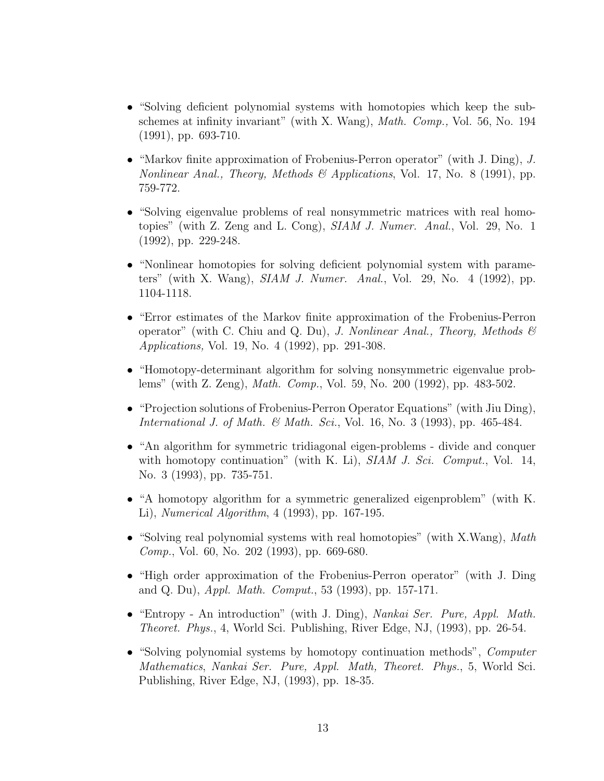- "Solving deficient polynomial systems with homotopies which keep the subschemes at infinity invariant" (with X. Wang), *Math. Comp.*, Vol. 56, No. 194 (1991), pp. 693-710.
- "Markov finite approximation of Frobenius-Perron operator" (with J. Ding), J. Nonlinear Anal., Theory, Methods & Applications, Vol. 17, No. 8 (1991), pp. 759-772.
- "Solving eigenvalue problems of real nonsymmetric matrices with real homotopies" (with Z. Zeng and L. Cong), SIAM J. Numer. Anal., Vol. 29, No. 1 (1992), pp. 229-248.
- "Nonlinear homotopies for solving deficient polynomial system with parameters" (with X. Wang), SIAM J. Numer. Anal., Vol. 29, No. 4 (1992), pp. 1104-1118.
- "Error estimates of the Markov finite approximation of the Frobenius-Perron operator" (with C. Chiu and Q. Du), J. Nonlinear Anal., Theory, Methods  $\mathcal{C}$ Applications, Vol. 19, No. 4 (1992), pp. 291-308.
- "Homotopy-determinant algorithm for solving nonsymmetric eigenvalue problems" (with Z. Zeng), Math. Comp., Vol. 59, No. 200 (1992), pp. 483-502.
- "Projection solutions of Frobenius-Perron Operator Equations" (with Jiu Ding), International J. of Math. & Math. Sci., Vol. 16, No. 3 (1993), pp. 465-484.
- "An algorithm for symmetric tridiagonal eigen-problems divide and conquer with homotopy continuation" (with K. Li),  $SIAM J. Sci. Comput.$  Vol. 14, No. 3 (1993), pp. 735-751.
- "A homotopy algorithm for a symmetric generalized eigenproblem" (with K. Li), Numerical Algorithm, 4 (1993), pp. 167-195.
- "Solving real polynomial systems with real homotopies" (with X.Wang), Math Comp., Vol. 60, No. 202 (1993), pp. 669-680.
- "High order approximation of the Frobenius-Perron operator" (with J. Ding and Q. Du), *Appl. Math. Comput.*, 53 (1993), pp. 157-171.
- "Entropy An introduction" (with J. Ding), *Nankai Ser. Pure, Appl. Math.* Theoret. Phys., 4, World Sci. Publishing, River Edge, NJ, (1993), pp. 26-54.
- "Solving polynomial systems by homotopy continuation methods", *Computer* Mathematics, Nankai Ser. Pure, Appl. Math, Theoret. Phys., 5, World Sci. Publishing, River Edge, NJ, (1993), pp. 18-35.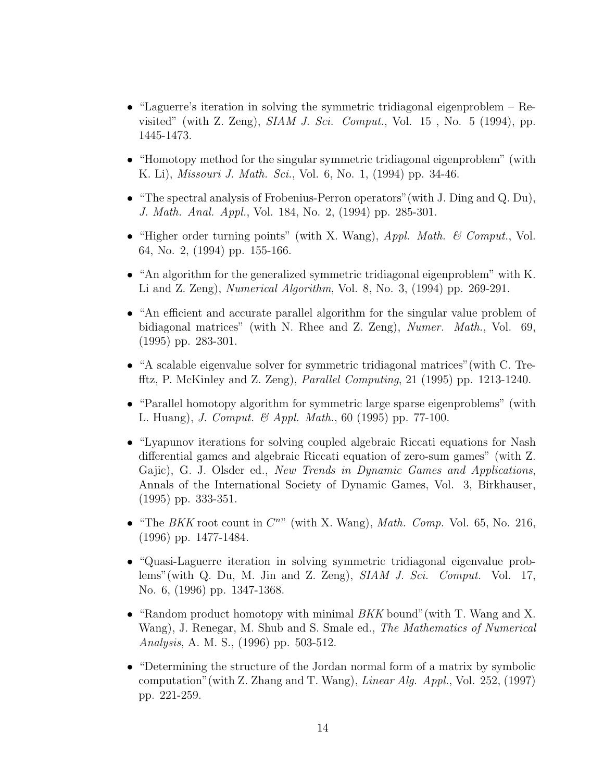- "Laguerre's iteration in solving the symmetric tridiagonal eigenproblem Revisited" (with Z. Zeng),  $SIAM J. Sci. Comput.$ , Vol.  $15$ , No.  $5$  (1994), pp. 1445-1473.
- "Homotopy method for the singular symmetric tridiagonal eigenproblem" (with K. Li), Missouri J. Math. Sci., Vol. 6, No. 1, (1994) pp. 34-46.
- "The spectral analysis of Frobenius-Perron operators"(with J. Ding and Q. Du), J. Math. Anal. Appl., Vol. 184, No. 2, (1994) pp. 285-301.
- "Higher order turning points" (with X. Wang),  $Appl. Math. \& Comput.$  Vol. 64, No. 2, (1994) pp. 155-166.
- "An algorithm for the generalized symmetric tridiagonal eigenproblem" with K. Li and Z. Zeng), Numerical Algorithm, Vol. 8, No. 3, (1994) pp. 269-291.
- "An efficient and accurate parallel algorithm for the singular value problem of bidiagonal matrices" (with N. Rhee and Z. Zeng), Numer. Math., Vol. 69, (1995) pp. 283-301.
- "A scalable eigenvalue solver for symmetric tridiagonal matrices"(with C. Trefftz, P. McKinley and Z. Zeng), Parallel Computing, 21 (1995) pp. 1213-1240.
- "Parallel homotopy algorithm for symmetric large sparse eigenproblems" (with L. Huang), J. Comput. & Appl. Math., 60 (1995) pp. 77-100.
- "Lyapunov iterations for solving coupled algebraic Riccati equations for Nash differential games and algebraic Riccati equation of zero-sum games" (with Z. Gajic), G. J. Olsder ed., New Trends in Dynamic Games and Applications, Annals of the International Society of Dynamic Games, Vol. 3, Birkhauser, (1995) pp. 333-351.
- "The BKK root count in  $C^{n}$ " (with X. Wang), Math. Comp. Vol. 65, No. 216, (1996) pp. 1477-1484.
- "Quasi-Laguerre iteration in solving symmetric tridiagonal eigenvalue problems"(with Q. Du, M. Jin and Z. Zeng), SIAM J. Sci. Comput. Vol. 17, No. 6, (1996) pp. 1347-1368.
- "Random product homotopy with minimal  $BKK$  bound" (with T. Wang and X. Wang), J. Renegar, M. Shub and S. Smale ed., The Mathematics of Numerical Analysis, A. M. S., (1996) pp. 503-512.
- "Determining the structure of the Jordan normal form of a matrix by symbolic computation" (with Z. Zhang and T. Wang), *Linear Alg. Appl.*, Vol. 252, (1997) pp. 221-259.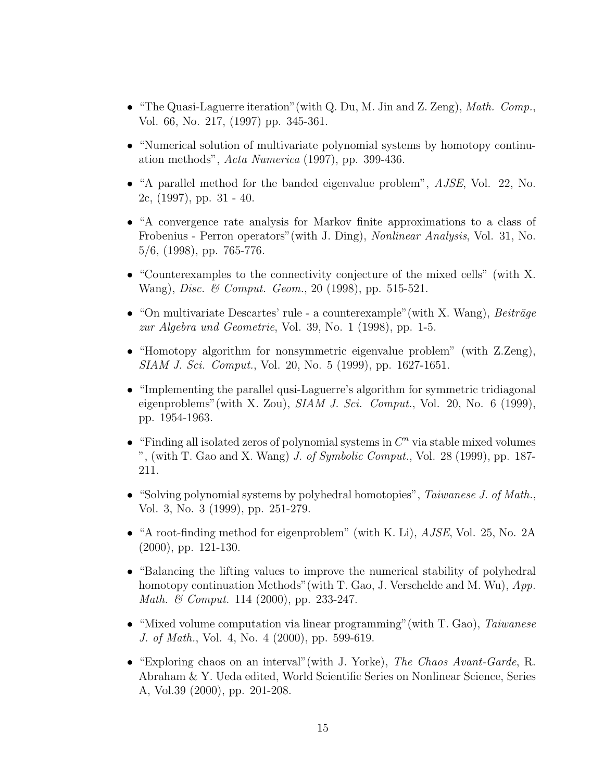- "The Quasi-Laguerre iteration" (with Q. Du, M. Jin and Z. Zeng), *Math.*  $Comp.$ Vol. 66, No. 217, (1997) pp. 345-361.
- "Numerical solution of multivariate polynomial systems by homotopy continuation methods",  $Acta Numerica$  (1997), pp. 399-436.
- "A parallel method for the banded eigenvalue problem", AJSE, Vol. 22, No. 2c, (1997), pp. 31 - 40.
- "A convergence rate analysis for Markov finite approximations to a class of Frobenius - Perron operators"(with J. Ding), Nonlinear Analysis, Vol. 31, No. 5/6, (1998), pp. 765-776.
- "Counterexamples to the connectivity conjecture of the mixed cells" (with X. Wang), Disc. & Comput. Geom., 20 (1998), pp. 515-521.
- "On multivariate Descartes' rule a counterexample" (with X. Wang),  $Beitr\ddot{a}ge$ zur Algebra und Geometrie, Vol. 39, No. 1 (1998), pp. 1-5.
- "Homotopy algorithm for nonsymmetric eigenvalue problem" (with Z.Zeng), SIAM J. Sci. Comput., Vol. 20, No. 5 (1999), pp. 1627-1651.
- "Implementing the parallel qusi-Laguerre's algorithm for symmetric tridiagonal eigenproblems" (with X. Zou),  $SIAM J. Sci. Comput.$ , Vol. 20, No. 6 (1999), pp. 1954-1963.
- "Finding all isolated zeros of polynomial systems in  $C<sup>n</sup>$  via stable mixed volumes ", (with T. Gao and X. Wang)  $J.$  of Symbolic Comput., Vol. 28 (1999), pp. 187-211.
- "Solving polynomial systems by polyhedral homotopies",  $Taiwanese J.$  of Math., Vol. 3, No. 3 (1999), pp. 251-279.
- "A root-finding method for eigenproblem" (with K. Li), *AJSE*, Vol. 25, No. 2A (2000), pp. 121-130.
- "Balancing the lifting values to improve the numerical stability of polyhedral homotopy continuation Methods" (with T. Gao, J. Verschelde and M. Wu),  $App.$ Math. & Comput. 114 (2000), pp. 233-247.
- "Mixed volume computation via linear programming" (with T. Gao), Taiwanese J. of Math., Vol. 4, No. 4 (2000), pp. 599-619.
- "Exploring chaos on an interval"(with J. Yorke), The Chaos Avant-Garde, R. Abraham & Y. Ueda edited, World Scientific Series on Nonlinear Science, Series A, Vol.39 (2000), pp. 201-208.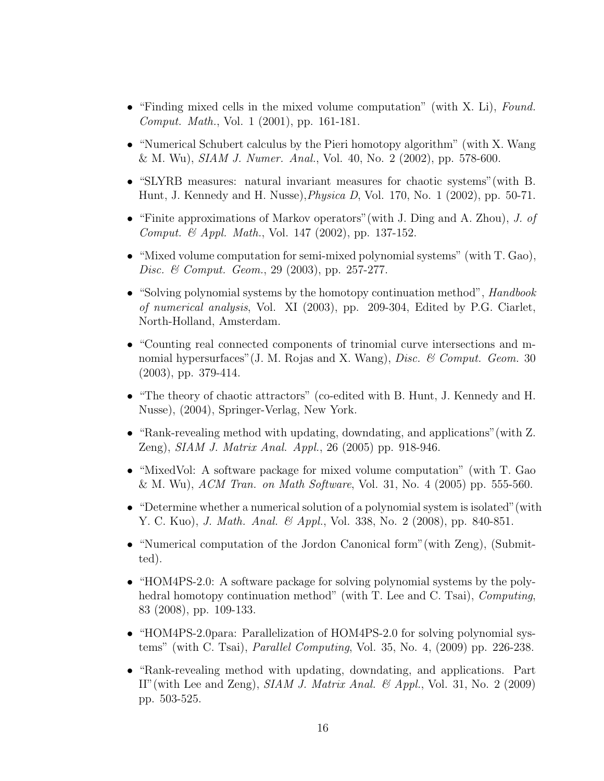- "Finding mixed cells in the mixed volume computation" (with X. Li), Found. Comput. Math., Vol. 1 (2001), pp. 161-181.
- "Numerical Schubert calculus by the Pieri homotopy algorithm" (with X. Wang & M. Wu), SIAM J. Numer. Anal., Vol. 40, No. 2 (2002), pp. 578-600.
- "SLYRB measures: natural invariant measures for chaotic systems"(with B. Hunt, J. Kennedy and H. Nusse),Physica D, Vol. 170, No. 1 (2002), pp. 50-71.
- "Finite approximations of Markov operators" (with J. Ding and A. Zhou), J. of Comput. & Appl. Math., Vol. 147 (2002), pp. 137-152.
- "Mixed volume computation for semi-mixed polynomial systems" (with T. Gao), Disc. & Comput. Geom., 29 (2003), pp. 257-277.
- "Solving polynomial systems by the homotopy continuation method", *Handbook* of numerical analysis, Vol. XI (2003), pp. 209-304, Edited by P.G. Ciarlet, North-Holland, Amsterdam.
- "Counting real connected components of trinomial curve intersections and mnomial hypersurfaces" (J. M. Rojas and X. Wang), *Disc. & Comput. Geom.* 30 (2003), pp. 379-414.
- "The theory of chaotic attractors" (co-edited with B. Hunt, J. Kennedy and H. Nusse), (2004), Springer-Verlag, New York.
- "Rank-revealing method with updating, downdating, and applications"(with Z. Zeng), SIAM J. Matrix Anal. Appl., 26 (2005) pp. 918-946.
- "MixedVol: A software package for mixed volume computation" (with T. Gao  $\&$  M. Wu), *ACM Tran. on Math Software*, Vol. 31, No. 4 (2005) pp. 555-560.
- "Determine whether a numerical solution of a polynomial system is isolated" (with Y. C. Kuo), *J. Math. Anal. & Appl.*, Vol. 338, No. 2 (2008), pp. 840-851.
- "Numerical computation of the Jordon Canonical form"(with Zeng), (Submitted).
- "HOM4PS-2.0: A software package for solving polynomial systems by the polyhedral homotopy continuation method" (with T. Lee and C. Tsai), *Computing*, 83 (2008), pp. 109-133.
- "HOM4PS-2.0para: Parallelization of HOM4PS-2.0 for solving polynomial systems" (with C. Tsai), Parallel Computing, Vol. 35, No. 4, (2009) pp. 226-238.
- "Rank-revealing method with updating, downdating, and applications. Part II"(with Lee and Zeng), SIAM J. Matrix Anal. & Appl., Vol. 31, No. 2 (2009) pp. 503-525.